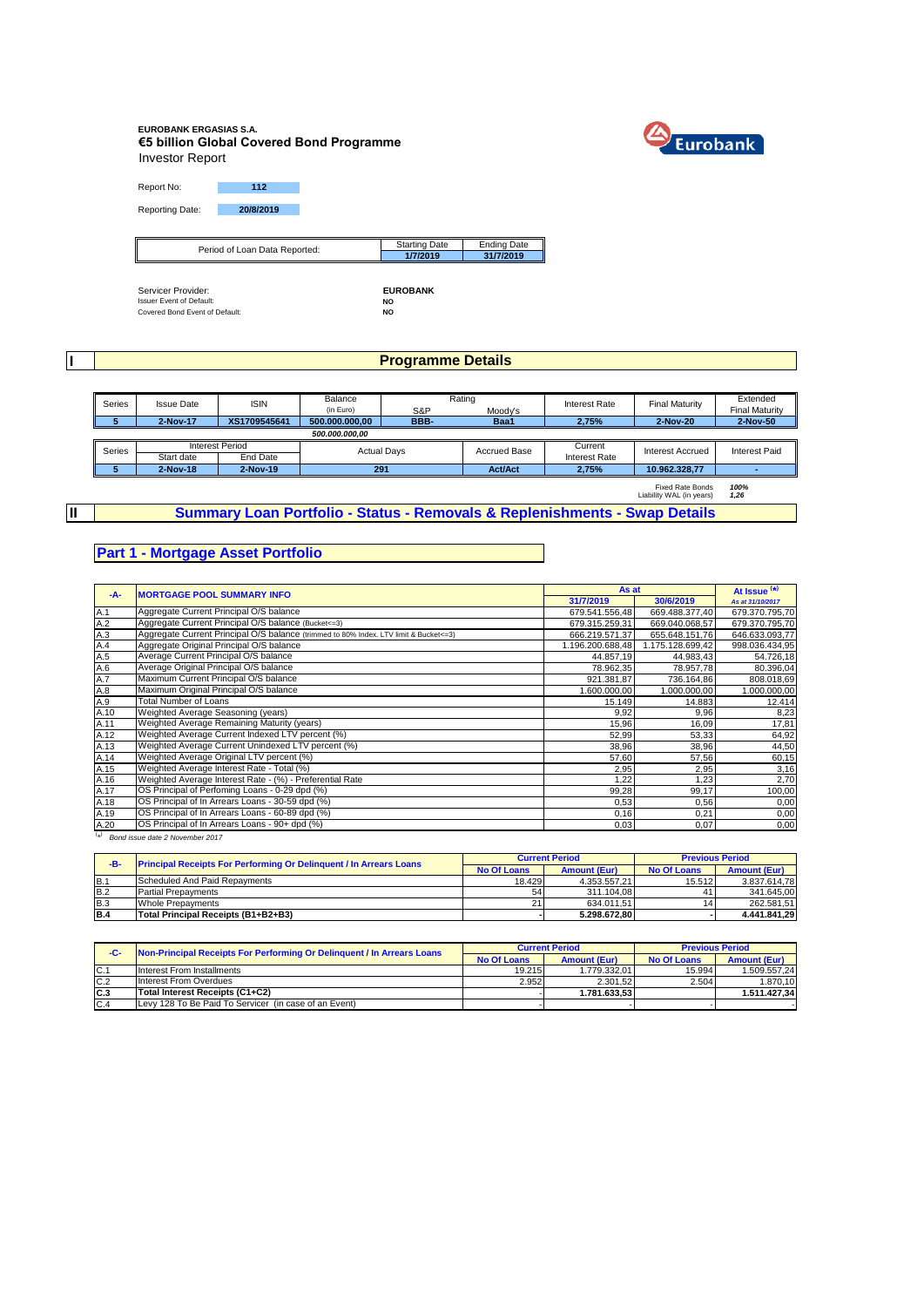# **EUROBANK ERGASIAS S.A. €5 billion Global Covered Bond Programme** Investor Report



Report No: **112** Reporting Date: **20/8/2019**

| Period of Loan Data Reported: | <b>Starting Date</b> | <b>Ending Date</b> |
|-------------------------------|----------------------|--------------------|
|                               | 1/7/2019             | 31/7/2019          |
|                               |                      |                    |

Servicer Provider: **EUROBANK** Issuer Event of Default: **NO** Covered Bond Event of Default: **NO**

**I**

**II**

#### **Programme Details**

| Series | <b>Issue Date</b> | <b>ISIN</b>            | Balance        |                    | Rating         | <b>Interest Rate</b> | Final Maturity          | Extended              |
|--------|-------------------|------------------------|----------------|--------------------|----------------|----------------------|-------------------------|-----------------------|
|        |                   |                        | (in Euro)      | S&P                | Moody's        |                      |                         | <b>Final Maturity</b> |
|        | 2-Nov-17          | XS1709545641           | 500.000.000.00 | BBB-               | Baa1           | 2.75%                | 2-Nov-20                | 2-Nov-50              |
|        | 500.000.000.00    |                        |                |                    |                |                      |                         |                       |
| Series |                   | <b>Interest Period</b> |                |                    | Accrued Base   | Current              | <b>Interest Accrued</b> | <b>Interest Paid</b>  |
|        | Start date        | End Date               |                | <b>Actual Days</b> |                | <b>Interest Rate</b> |                         |                       |
|        | 2-Nov-18          | 2-Nov-19               | 291            |                    | <b>Act/Act</b> | 2.75%                | 10.962.328.77           |                       |

Fixed Rate Bonds *100%* Liability WAL (in years) *1,26*

**Summary Loan Portfolio - Status - Removals & Replenishments - Swap Details**

#### **Part 1 - Mortgage Asset Portfolio**

| $-A-$                                                            | <b>MORTGAGE POOL SUMMARY INFO</b>                                                       | As at           |                  | At Issue $(*)$   |
|------------------------------------------------------------------|-----------------------------------------------------------------------------------------|-----------------|------------------|------------------|
|                                                                  |                                                                                         | 31/7/2019       | 30/6/2019        | As at 31/10/2017 |
| A.1                                                              | Aggregate Current Principal O/S balance                                                 | 679.541.556.48  | 669.488.377,40   | 679.370.795,70   |
| A.2                                                              | Aggregate Current Principal O/S balance (Bucket <= 3)                                   | 679.315.259.31  | 669.040.068,57   | 679.370.795,70   |
| A.3                                                              | Aggregate Current Principal O/S balance (trimmed to 80% Index. LTV limit & Bucket <= 3) | 666.219.571,37  | 655.648.151,76   | 646.633.093,77   |
| A.4                                                              | Aggregate Original Principal O/S balance                                                | .196.200.688,48 | 1.175.128.699,42 | 998.036.434,95   |
| A.5                                                              | Average Current Principal O/S balance                                                   | 44.857,19       | 44.983,43        | 54.726,18        |
| A.6                                                              | Average Original Principal O/S balance                                                  | 78.962,35       | 78.957,78        | 80.396,04        |
| A.7                                                              | Maximum Current Principal O/S balance                                                   | 921.381.87      | 736.164.86       | 808.018,69       |
| A.8                                                              | Maximum Original Principal O/S balance                                                  | 1.600.000,00    | 1.000.000,00     | 1.000.000,00     |
| A.9                                                              | <b>Total Number of Loans</b>                                                            | 15.149          | 14.883           | 12.414           |
| A.10                                                             | Weighted Average Seasoning (years)                                                      | 9,92            | 9,96             | 8,23             |
| A.11                                                             | Weighted Average Remaining Maturity (years)                                             | 15,96           | 16,09            | 17,81            |
| A.12                                                             | Weighted Average Current Indexed LTV percent (%)                                        | 52,99           | 53,33            | 64,92            |
| A.13                                                             | Weighted Average Current Unindexed LTV percent (%)                                      | 38,96           | 38,96            | 44,50            |
| A.14                                                             | Weighted Average Original LTV percent (%)                                               | 57,60           | 57,56            | 60,15            |
| A.15                                                             | Weighted Average Interest Rate - Total (%)                                              | 2,95            | 2,95             | 3,16             |
| A.16                                                             | Weighted Average Interest Rate - (%) - Preferential Rate                                | 1,22            | 1,23             | 2,70             |
| A.17                                                             | OS Principal of Perfoming Loans - 0-29 dpd (%)                                          | 99,28           | 99,17            | 100,00           |
| A.18                                                             | OS Principal of In Arrears Loans - 30-59 dpd (%)                                        | 0,53            | 0,56             | 0,00             |
| A.19                                                             | OS Principal of In Arrears Loans - 60-89 dpd (%)                                        | 0,16            | 0,21             | 0,00             |
| A.20<br>$\left( \begin{array}{c} \lambda \\ \end{array} \right)$ | OS Principal of In Arrears Loans - 90+ dpd (%)                                          | 0,03            | 0,07             | 0,00             |

( \* ) *Bond issue date 2 November 2017*

| -B- | <b>Principal Receipts For Performing Or Delinquent / In Arrears Loans</b> |                    | <b>Current Period</b> | <b>Previous Period</b> |                     |  |
|-----|---------------------------------------------------------------------------|--------------------|-----------------------|------------------------|---------------------|--|
|     |                                                                           | <b>No Of Loans</b> | <b>Amount (Eur)</b>   | <b>No Of Loans</b>     | <b>Amount (Eur)</b> |  |
| B.1 | Scheduled And Paid Repayments                                             | 18.429             | 4.353.557.21          | 15.512                 | 3.837.614.78        |  |
| B.2 | <b>Partial Prepayments</b>                                                | 54                 | 311.104.08            |                        | 341.645.00          |  |
| B.3 | <b>Whole Prepayments</b>                                                  | 21                 | 634.011.51            | 14                     | 262.581.51          |  |
| B.4 | Total Principal Receipts (B1+B2+B3)                                       |                    | 5.298.672.80          |                        | 4.441.841.29        |  |

| -C- | Non-Principal Receipts For Performing Or Delinquent / In Arrears Loans |        | <b>Current Period</b> | <b>Previous Period</b> |                     |  |
|-----|------------------------------------------------------------------------|--------|-----------------------|------------------------|---------------------|--|
|     |                                                                        |        | <b>Amount (Eur)</b>   | No Of Loans            | <b>Amount (Eur)</b> |  |
| C.1 | Interest From Installments                                             | 19.215 | 1.779.332.01          | 15.994                 | 1.509.557.24        |  |
| C.2 | Interest From Overdues                                                 | 2.952  | 2.301.52              | 2.504                  | 1.870.10            |  |
| C.3 | Total Interest Receipts (C1+C2)                                        |        | 1.781.633.53          |                        | 1.511.427.34        |  |
| C.4 | Levy 128 To Be Paid To Servicer (in case of an Event)                  |        |                       |                        |                     |  |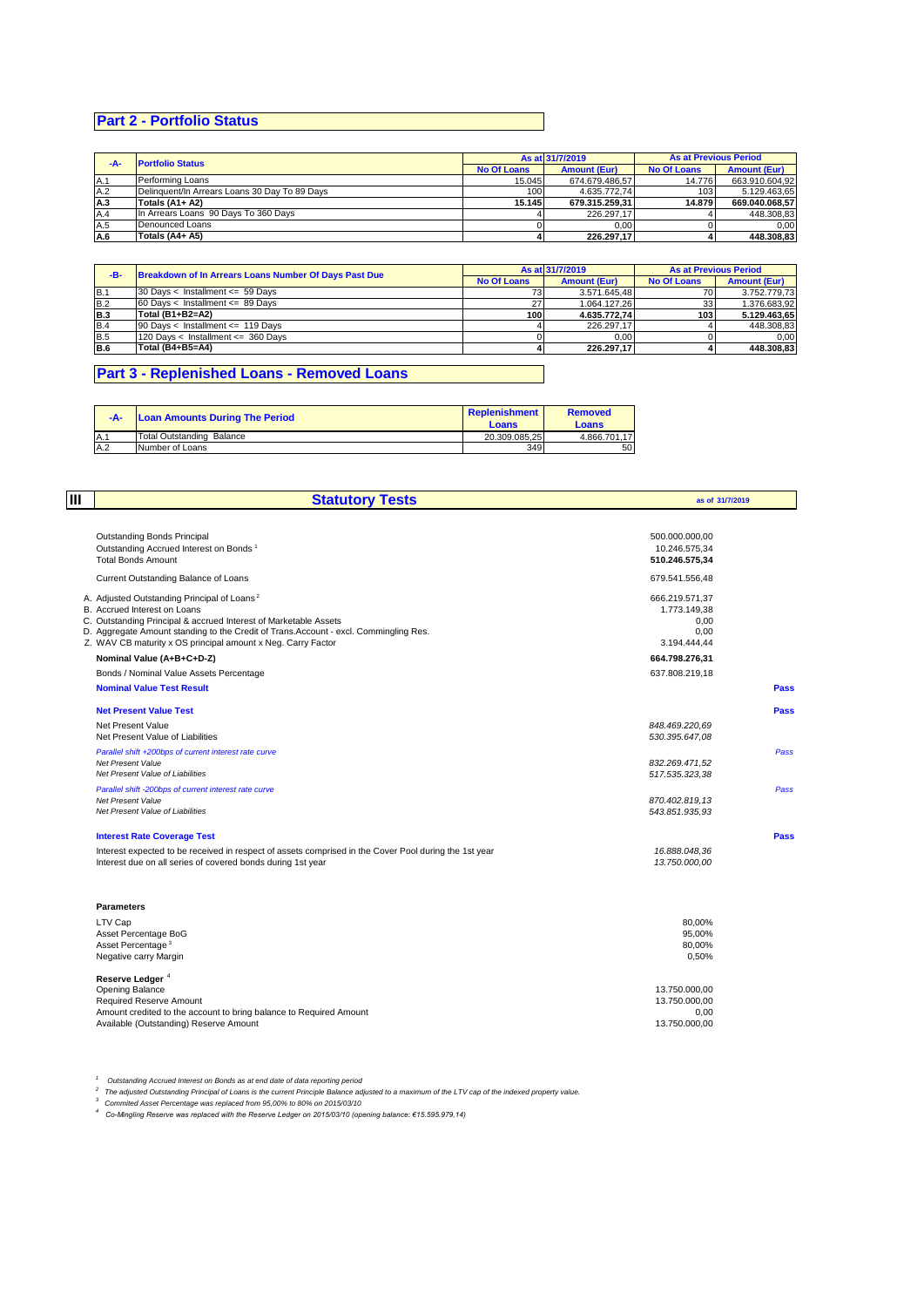# **Part 2 - Portfolio Status**

| $-A-$ | <b>Portfolio Status</b>                       | As at 31/7/2019    |                     | <b>As at Previous Period</b> |                     |
|-------|-----------------------------------------------|--------------------|---------------------|------------------------------|---------------------|
|       |                                               | <b>No Of Loans</b> | <b>Amount (Eur)</b> | <b>No Of Loans</b>           | <b>Amount (Eur)</b> |
| A.1   | Performing Loans                              | 15.045             | 674.679.486,57      | 14.776                       | 663.910.604.92      |
| A.2   | Delinquent/In Arrears Loans 30 Day To 89 Days | 100                | 4.635.772.74        | 103 <sub>1</sub>             | 5.129.463,65        |
| A.3   | Totals (A1+ A2)                               | 15.145             | 679.315.259.31      | 14.879                       | 669.040.068.57      |
| A.4   | In Arrears Loans 90 Days To 360 Days          |                    | 226.297.17          |                              | 448.308,83          |
| A.5   | Denounced Loans                               |                    | 0.00                |                              | 0.00                |
| A.6   | Totals (A4+ A5)                               |                    | 226.297.17          |                              | 448.308.83          |

| -в-        | Breakdown of In Arrears Loans Number Of Days Past Due | As at 31/7/2019  |                     | <b>As at Previous Period</b> |                     |
|------------|-------------------------------------------------------|------------------|---------------------|------------------------------|---------------------|
|            |                                                       |                  | <b>Amount (Eur)</b> | <b>No Of Loans</b>           | <b>Amount (Eur)</b> |
| IB.1       | 30 Days < Installment <= 59 Days                      | 731              | 3.571.645.48        | 70                           | 3.752.779.73        |
| <b>B.2</b> | $60$ Days < Installment <= 89 Days                    | 27               | 1.064.127.26        | 33                           | 1.376.683.92        |
| <b>B.3</b> | Total (B1+B2=A2)                                      | 100 <sub>l</sub> | 4.635.772.74        | 103                          | 5.129.463.65        |
| <b>B.4</b> | 90 Days < Installment <= 119 Days                     |                  | 226.297.17          |                              | 448.308.83          |
| B.5        | 120 Days < Installment <= 360 Days                    |                  | 0.00                |                              | 0.00                |
| B.6        | Total (B4+B5=A4)                                      |                  | 226.297.17          |                              | 448.308.83          |

# **Part 3 - Replenished Loans - Removed Loans**

| -A-         | <b>Loan Amounts During The Period</b> | Replenishment<br>Loans | <b>Removed</b><br><b>Loans</b> |
|-------------|---------------------------------------|------------------------|--------------------------------|
| <b>IA.1</b> | Total Outstanding Balance             | 20.309.085.25          | 4.866.701.17                   |
| A.2         | Number of Loans                       | 349                    | 50                             |

| Ш | <b>Statutory Tests</b>                                                                                                                                                                                                                                                                                               | as of 31/7/2019                                                |             |
|---|----------------------------------------------------------------------------------------------------------------------------------------------------------------------------------------------------------------------------------------------------------------------------------------------------------------------|----------------------------------------------------------------|-------------|
|   | <b>Outstanding Bonds Principal</b><br>Outstanding Accrued Interest on Bonds <sup>1</sup><br><b>Total Bonds Amount</b>                                                                                                                                                                                                | 500.000.000,00<br>10.246.575,34<br>510.246.575,34              |             |
|   | Current Outstanding Balance of Loans                                                                                                                                                                                                                                                                                 | 679.541.556,48                                                 |             |
|   | A. Adjusted Outstanding Principal of Loans <sup>2</sup><br>B. Accrued Interest on Loans<br>C. Outstanding Principal & accrued Interest of Marketable Assets<br>D. Aggregate Amount standing to the Credit of Trans. Account - excl. Commingling Res.<br>Z. WAV CB maturity x OS principal amount x Neg. Carry Factor | 666.219.571.37<br>1.773.149,38<br>0.00<br>0,00<br>3.194.444,44 |             |
|   | Nominal Value (A+B+C+D-Z)                                                                                                                                                                                                                                                                                            | 664.798.276,31                                                 |             |
|   | Bonds / Nominal Value Assets Percentage                                                                                                                                                                                                                                                                              | 637.808.219,18                                                 |             |
|   | <b>Nominal Value Test Result</b>                                                                                                                                                                                                                                                                                     |                                                                | <b>Pass</b> |
|   | <b>Net Present Value Test</b><br>Net Present Value<br>Net Present Value of Liabilities                                                                                                                                                                                                                               | 848.469.220.69<br>530.395.647,08                               | Pass        |
|   | Parallel shift +200bps of current interest rate curve<br>Net Present Value<br>Net Present Value of Liabilities                                                                                                                                                                                                       | 832.269.471,52<br>517.535.323,38                               | Pass        |
|   | Parallel shift -200bps of current interest rate curve<br>Net Present Value<br>Net Present Value of Liabilities                                                                                                                                                                                                       | 870.402.819.13<br>543.851.935,93                               | Pass        |
|   | <b>Interest Rate Coverage Test</b>                                                                                                                                                                                                                                                                                   |                                                                | <b>Pass</b> |
|   | Interest expected to be received in respect of assets comprised in the Cover Pool during the 1st year<br>Interest due on all series of covered bonds during 1st year                                                                                                                                                 | 16.888.048,36<br>13.750.000,00                                 |             |
|   | <b>Parameters</b>                                                                                                                                                                                                                                                                                                    |                                                                |             |
|   | LTV Cap<br>Asset Percentage BoG<br>Asset Percentage <sup>3</sup><br>Negative carry Margin                                                                                                                                                                                                                            | 80,00%<br>95,00%<br>80.00%<br>0,50%                            |             |
|   | Reserve Ledger <sup>4</sup><br>Opening Balance<br>Required Reserve Amount<br>Amount credited to the account to bring balance to Required Amount                                                                                                                                                                      | 13.750.000,00<br>13.750.000,00<br>0,00                         |             |
|   | Available (Outstanding) Reserve Amount                                                                                                                                                                                                                                                                               | 13.750.000.00                                                  |             |

<sup>1</sup> Outstanding Accrued Interest on Bonds as at end date of data reporting period<br><sup>2</sup> The adjusted Outstanding Principal of Loans is the current Principle Balance adjusted to a maximum of the LTV cap of the indexed proper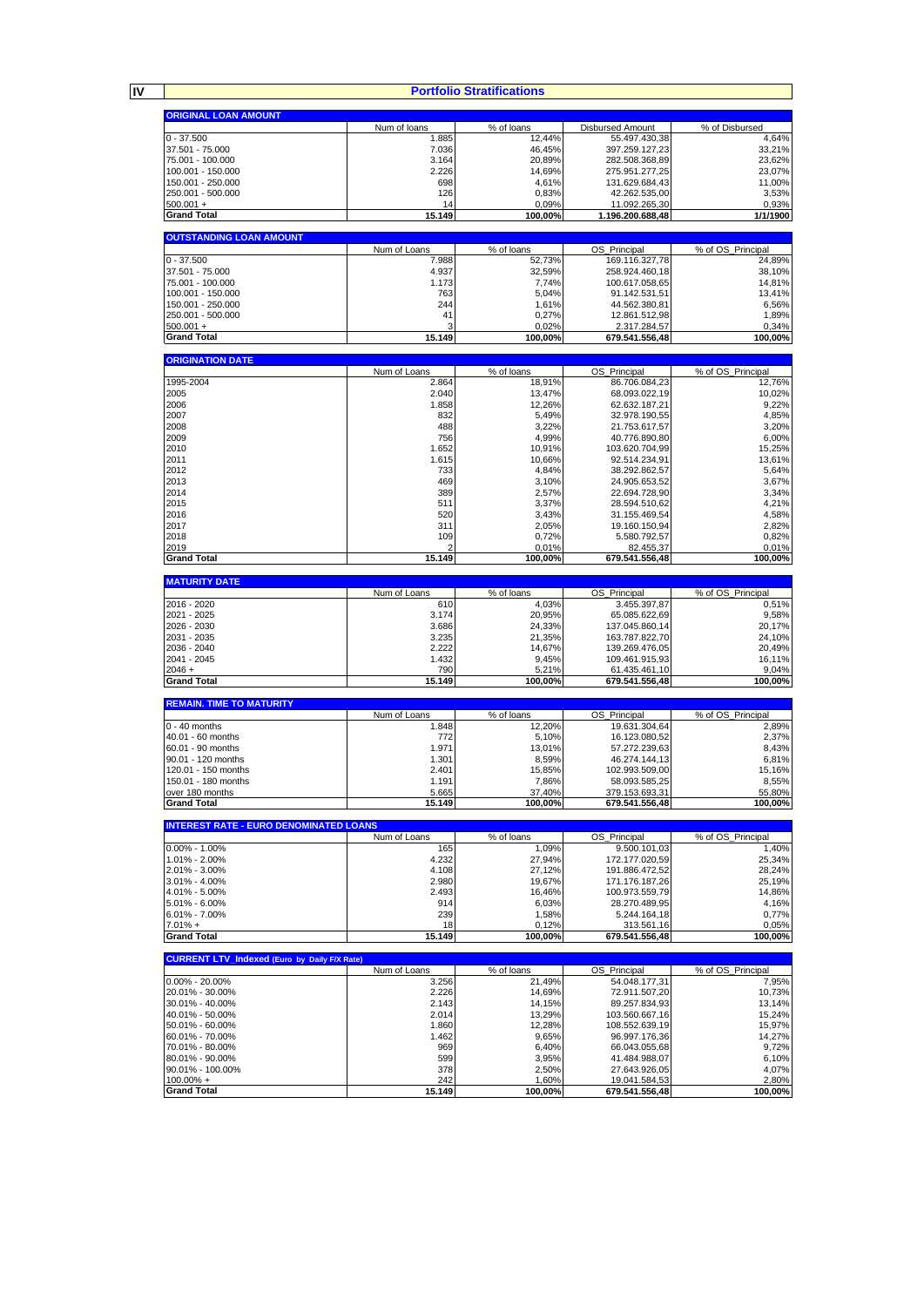**IV**

#### **Portfolio Stratifications**

┓

| <b>ORIGINAL LOAN AMOUNT</b>                         |                     |                     |                                 |                            |
|-----------------------------------------------------|---------------------|---------------------|---------------------------------|----------------------------|
|                                                     | Num of loans        | % of loans          | Disbursed Amount                | % of Disbursed             |
| $0 - 37.500$                                        | 1.885               | 12,44%              | 55.497.430,38                   | 4,64%                      |
| 37.501 - 75.000                                     | 7.036               | 46,45%              | 397.259.127,23                  | 33,21%                     |
| 75.001 - 100.000                                    | 3.164               | 20,89%              | 282.508.368,89                  | 23,62%                     |
| 100.001 - 150.000                                   | 2.226               | 14,69%              | 275.951.277,25                  | 23,07%                     |
| 150.001 - 250.000                                   | 698                 | 4,61%               | 131.629.684,43                  | 11,00%                     |
| 250.001 - 500.000                                   | 126                 | 0,83%               | 42.262.535,00                   | 3,53%                      |
| $500.001 +$                                         | 14                  | 0,09%               | 11.092.265,30                   | 0,93%                      |
| <b>Grand Total</b>                                  | 15.149              | 100,00%             | 1.196.200.688,48                | 1/1/1900                   |
|                                                     |                     |                     |                                 |                            |
| <b>OUTSTANDING LOAN AMOUNT</b>                      |                     |                     |                                 |                            |
|                                                     | Num of Loans        | % of loans          | OS_Principal                    | % of OS_Principal          |
| $0 - 37.500$                                        | 7.988               | 52,73%              | 169.116.327,78                  | 24,89%                     |
| 37.501 - 75.000                                     | 4.937               | 32,59%              | 258.924.460,18                  | 38,10%                     |
| 75.001 - 100.000                                    | 1.173               | 7.74%               | 100.617.058,65                  | 14,81%                     |
| 100.001 - 150.000                                   | 763                 | 5,04%               | 91.142.531,51                   | 13,41%                     |
| 150.001 - 250.000<br>250.001 - 500.000              | 244<br>41           | 1,61%               | 44.562.380,81<br>12.861.512,98  | 6,56%<br>1,89%             |
| $500.001 +$                                         |                     | 0,27%<br>0,02%      | 2.317.284,57                    | 0,34%                      |
| <b>Grand Total</b>                                  | 15.149              | 100,00%             | 679.541.556,48                  | 100,00%                    |
|                                                     |                     |                     |                                 |                            |
| <b>ORIGINATION DATE</b>                             |                     |                     |                                 |                            |
|                                                     | Num of Loans        | % of loans          | OS_Principal                    | % of OS_Principal          |
| 1995-2004                                           | 2.864               | 18,91%              | 86.706.084,23                   | 12,76%                     |
| 2005                                                | 2.040               | 13,47%              | 68.093.022,19                   | 10,02%                     |
| 2006                                                | 1.858               | 12,26%              | 62.632.187,21                   | 9,22%                      |
| 2007                                                | 832                 | 5,49%               | 32.978.190.55                   | 4,85%                      |
| 2008                                                | 488                 | 3,22%               | 21.753.617,57                   | 3,20%                      |
| 2009                                                | 756                 | 4,99%               | 40.776.890,80                   | 6,00%                      |
| 2010                                                | 1.652               | 10,91%              | 103.620.704,99                  | 15,25%                     |
| 2011                                                | 1.615               | 10,66%              | 92.514.234,91                   | 13,61%                     |
| 2012                                                | 733                 | 4,84%               | 38.292.862,57                   | 5,64%                      |
| 2013                                                | 469                 | 3,10%               | 24.905.653,52                   | 3,67%                      |
| 2014                                                | 389                 | 2,57%               | 22.694.728,90                   | 3,34%                      |
| 2015<br>2016                                        | 511<br>520          | 3,37%               | 28.594.510,62                   | 4,21%                      |
| 2017                                                | 311                 | 3,43%<br>2,05%      | 31.155.469,54<br>19.160.150,94  | 4,58%<br>2,82%             |
| 2018                                                | 109                 | 0,72%               | 5.580.792,57                    | 0,82%                      |
| 2019                                                |                     | 0,01%               | 82.455,37                       | 0,01%                      |
| <b>Grand Total</b>                                  | 15.149              | 100,00%             | 679.541.556,48                  | 100,00%                    |
|                                                     |                     |                     |                                 |                            |
| <b>MATURITY DATE</b>                                |                     |                     |                                 |                            |
|                                                     | Num of Loans        | % of loans          | OS_Principal                    | % of OS_Principal          |
| 2016 - 2020                                         | 610                 | 4,03%               | 3.455.397,87                    | 0,51%                      |
| 2021 - 2025                                         | 3.174               | 20,95%              | 65.085.622,69                   | 9,58%                      |
| 2026 - 2030                                         | 3.686               | 24,33%              | 137.045.860,14                  | 20,17%                     |
| 2031 - 2035                                         | 3.235               | 21,35%              | 163.787.822,70                  | 24,10%                     |
| 2036 - 2040                                         | 2.222               | 14,67%              | 139.269.476,05                  | 20,49%                     |
|                                                     |                     |                     |                                 |                            |
| 2041 - 2045                                         | 1.432               | 9,45%               | 109.461.915,93                  | 16,11%                     |
| $2046 +$                                            | 790                 | 5,21%               | 61.435.461,10                   | 9,04%                      |
| <b>Grand Total</b>                                  | 15.149              | 100,00%             | 679.541.556,48                  | 100,00%                    |
|                                                     |                     |                     |                                 |                            |
| <b>REMAIN. TIME TO MATURITY</b>                     | Num of Loans        | % of loans          | OS_Principal                    | % of OS Principal          |
| $0 - 40$ months                                     | 1.848               | 12,20%              | 19.631.304,64                   | 2,89%                      |
| 40.01 - 60 months                                   | 772                 | 5,10%               | 16.123.080,52                   | 2,37%                      |
| 60.01 - 90 months                                   | 1.971               | 13,01%              | 57.272.239,63                   | 8,43%                      |
| 90.01 - 120 months                                  | 1.301               | 8,59%               | 46.274.144,13                   | 6,81%                      |
| 120.01 - 150 months                                 | 2.401               | 15,85%              | 102.993.509,00                  | 15,16%                     |
| 150.01 - 180 months                                 | 1.191               | 7,86%               | 58.093.585.25                   | 8,55%                      |
| over 180 months                                     | 5.665               | 37,40%              | 379.153.693,31                  | 55.80%                     |
| <b>Grand Total</b>                                  | 15.149              | 100,00%             | 679.541.556,48                  | 100,00%                    |
|                                                     |                     |                     |                                 |                            |
| <b>INTEREST RATE - EURO DENOMINATED LOANS</b>       |                     |                     |                                 |                            |
| $0.00\% - 1.00\%$                                   | Num of Loans<br>165 | % of loans<br>1,09% | OS Principal<br>9.500.101.03    | % of OS_Principal<br>1,40% |
| 1.01% - 2.00%                                       | 4.232               | 27,94%              | 172.177.020,59                  | 25,34%                     |
| 2.01% - 3.00%                                       | 4.108               | 27,12%              | 191.886.472,52                  | 28,24%                     |
| 3.01% - 4.00%                                       | 2.980               | 19,67%              | 171.176.187,26                  | 25,19%                     |
| 4.01% - 5.00%                                       | 2.493               | 16,46%              | 100.973.559,79                  | 14,86%                     |
| 5.01% - 6.00%                                       | 914                 | 6,03%               | 28.270.489,95                   | 4,16%                      |
| $6.01\% - 7.00\%$                                   | 239                 | 1,58%               | 5.244.164,18                    | 0,77%                      |
| $7.01% +$                                           | 18                  | 0.12%               | 313.561,16                      | 0,05%                      |
| <b>Grand Total</b>                                  | 15.149              | 100,00%             | 679.541.556,48                  | 100,00%                    |
|                                                     |                     |                     |                                 |                            |
| <b>CURRENT LTV_Indexed (Euro by Daily F/X Rate)</b> |                     |                     |                                 |                            |
|                                                     | Num of Loans        | % of loans          | OS_Principal                    | % of OS Principal          |
| $0.00\% - 20.00\%$                                  | 3.256               | 21,49%              | 54.048.177,31                   | 7,95%                      |
| 20.01% - 30.00%                                     | 2.226               | 14,69%              | 72.911.507,20                   | 10,73%                     |
| 30.01% - 40.00%<br>40.01% - 50.00%                  | 2.143<br>2.014      | 14,15%<br>13,29%    | 89.257.834,93<br>103.560.667,16 | 13,14%<br>15,24%           |
| 50.01% - 60.00%                                     | 1.860               | 12,28%              | 108.552.639,19                  | 15,97%                     |
| 60.01% - 70.00%                                     | 1.462               | 9,65%               | 96.997.176,36                   | 14,27%                     |
| 70.01% - 80.00%                                     | 969                 | 6,40%               | 66.043.055,68                   | 9,72%                      |
| 80.01% - 90.00%                                     | 599                 | 3,95%               | 41.484.988,07                   | 6,10%                      |
| 90.01% - 100.00%                                    | 378                 | 2,50%               | 27.643.926,05                   | 4,07%                      |
| $100.00\% +$<br><b>Grand Total</b>                  | 242<br>15.149       | 1,60%<br>100,00%    | 19.041.584,53<br>679.541.556,48 | 2,80%<br>100,00%           |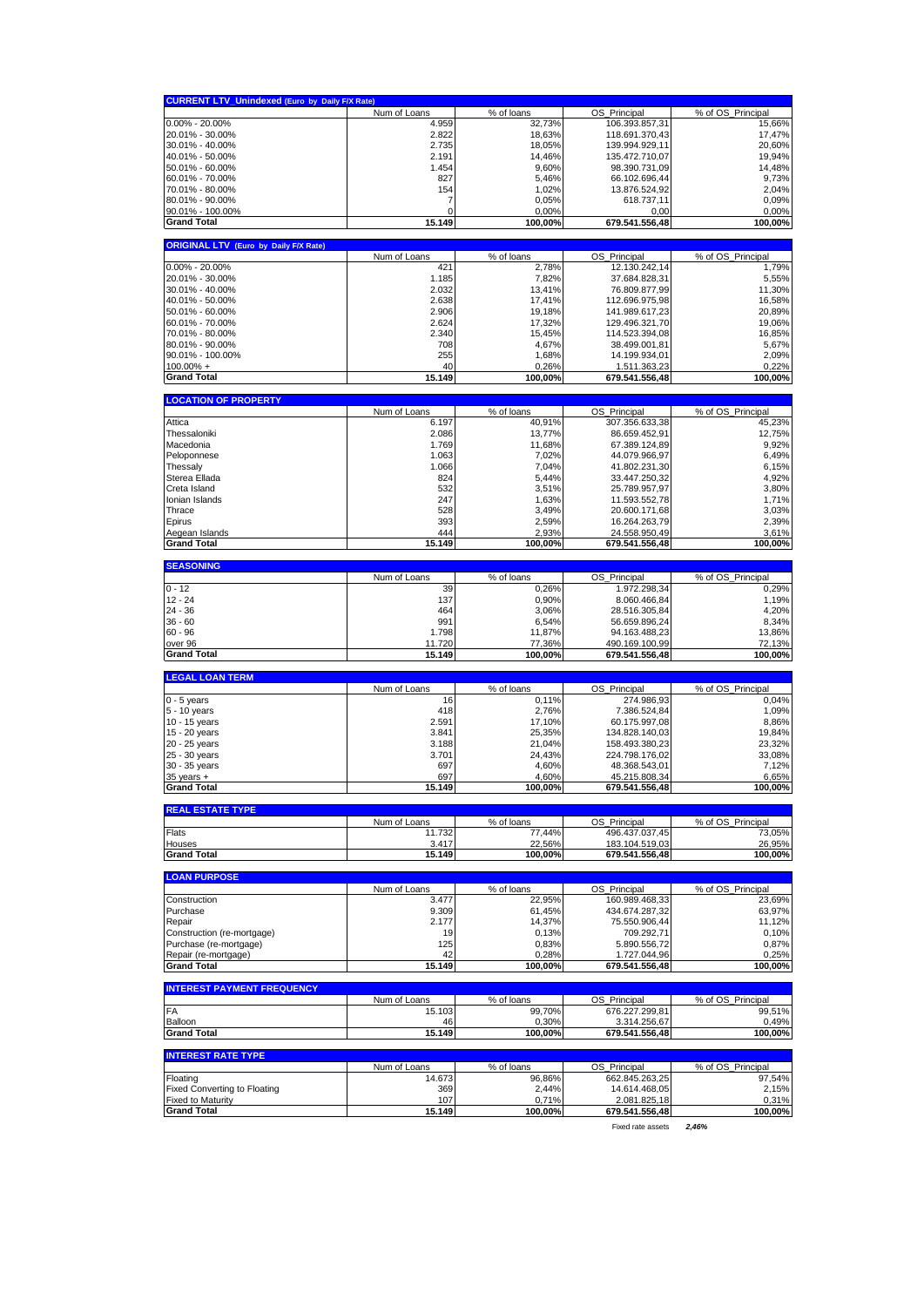|                                              | <b>CURRENT LTV_Unindexed (Euro by Daily F/X Rate)</b> |                      |                                 |                             |
|----------------------------------------------|-------------------------------------------------------|----------------------|---------------------------------|-----------------------------|
|                                              | Num of Loans                                          | % of loans           | OS_Principal                    | % of OS_Principal           |
| $0.00\% - 20.00\%$                           | 4.959                                                 | 32,73%               | 106.393.857,31                  | 15,66%                      |
| 20.01% - 30.00%                              | 2.822                                                 | 18,63%               | 118.691.370,43                  | 17,47%                      |
| 30.01% - 40.00%                              | 2.735                                                 | 18,05%               | 139.994.929,11                  | 20,60%                      |
| 40.01% - 50.00%                              | 2.191                                                 | 14,46%               | 135.472.710,07                  | 19,94%                      |
| 50.01% - 60.00%                              | 1.454                                                 | 9,60%                | 98.390.731,09                   | 14,48%                      |
| 60.01% - 70.00%                              | 827                                                   | 5,46%                | 66.102.696,44                   | 9,73%                       |
| 70.01% - 80.00%                              | 154                                                   | 1,02%                | 13.876.524,92                   | 2,04%                       |
| 80.01% - 90.00%                              | 7                                                     | 0,05%                | 618.737,11                      | 0,09%                       |
| 90.01% - 100.00%                             | 0                                                     | 0,00%                | 0,00                            | 0,00%                       |
| <b>Grand Total</b>                           | 15.149                                                | 100,00%              | 679.541.556,48                  | 100,00%                     |
|                                              |                                                       |                      |                                 |                             |
| <b>ORIGINAL LTV (Euro by Daily F/X Rate)</b> |                                                       |                      |                                 |                             |
|                                              | Num of Loans                                          | % of loans           | OS_Principal                    | % of OS_Principal           |
| 0.00% - 20.00%                               | 42 <sup>1</sup>                                       | 2,78%                | 12.130.242,14                   | 1.79%                       |
| 20.01% - 30.00%                              | 1.185                                                 | 7,82%                | 37.684.828,31                   | 5,55%                       |
| 30.01% - 40.00%                              | 2.032                                                 | 13,41%               | 76.809.877,99                   | 11,30%                      |
| 40.01% - 50.00%                              | 2.638                                                 | 17,41%               | 112.696.975,98                  | 16,58%                      |
| 50.01% - 60.00%                              | 2.906                                                 | 19,18%               | 141.989.617,23                  | 20,89%                      |
| 60.01% - 70.00%                              | 2.624                                                 | 17,32%               | 129.496.321,70                  | 19,06%                      |
| 70.01% - 80.00%                              | 2.340                                                 | 15,45%               | 114.523.394,08                  | 16,85%                      |
| 80.01% - 90.00%                              | 708                                                   | 4,67%                | 38.499.001,81                   | 5,67%                       |
| 90.01% - 100.00%                             | 255                                                   | 1,68%                | 14.199.934,01                   | 2,09%                       |
| $100.00\% +$                                 | 40                                                    | 0,26%                | 1.511.363,23                    | 0,22%                       |
| <b>Grand Total</b>                           | 15.149                                                | 100,00%              | 679.541.556,48                  | 100,00%                     |
|                                              |                                                       |                      |                                 |                             |
| <b>LOCATION OF PROPERTY</b>                  |                                                       |                      |                                 |                             |
| Attica                                       | Num of Loans<br>6.197                                 | % of loans<br>40,91% | OS_Principal<br>307.356.633,38  | % of OS_Principal<br>45,23% |
| Thessaloniki                                 | 2.086                                                 | 13,77%               | 86.659.452,91                   | 12,75%                      |
| Macedonia                                    | 1.769                                                 | 11,68%               | 67.389.124.89                   | 9,92%                       |
| Peloponnese                                  | 1.063                                                 | 7,02%                | 44.079.966,97                   | 6,49%                       |
|                                              | 1.066                                                 | 7,04%                |                                 |                             |
| Thessaly<br>Sterea Ellada                    | 824                                                   | 5,44%                | 41.802.231,30<br>33.447.250,32  | 6,15%<br>4,92%              |
| Creta Island                                 | 532                                                   | 3,51%                | 25.789.957,97                   | 3,80%                       |
| Ionian Islands                               | 247                                                   | 1,63%                | 11.593.552,78                   | 1,71%                       |
| Thrace                                       | 528                                                   | 3,49%                | 20.600.171,68                   | 3,03%                       |
| Epirus                                       | 393                                                   |                      |                                 |                             |
| Aegean Islands                               | 444                                                   | 2,59%<br>2,93%       | 16.264.263,79<br>24.558.950,49  | 2,39%<br>3,61%              |
| <b>Grand Total</b>                           | 15.149                                                | 100,00%              | 679.541.556,48                  | 100,00%                     |
|                                              |                                                       |                      |                                 |                             |
| <b>SEASONING</b>                             |                                                       |                      |                                 |                             |
|                                              | Num of Loans                                          | % of loans           | OS_Principal                    | % of OS_Principal           |
| $0 - 12$                                     | 39                                                    | 0,26%                | 1.972.298,34                    | 0,29%                       |
| $12 - 24$                                    | 137                                                   | 0,90%                | 8.060.466,84                    | 1,19%                       |
| $24 - 36$                                    | 464                                                   | 3,06%                | 28.516.305,84                   | 4,20%                       |
| $36 - 60$                                    | 991                                                   | 6,54%                | 56.659.896,24                   | 8,34%                       |
| $60 - 96$                                    | 1.798                                                 | 11,87%               | 94.163.488,23                   | 13,86%                      |
| over 96                                      | 11.720                                                | 77,36%               | 490.169.100,99                  | 72,13%                      |
| <b>Grand Total</b>                           | 15.149                                                | 100,00%              | 679.541.556,48                  | 100,00%                     |
| <b>LEGAL LOAN TERM</b>                       |                                                       |                      |                                 |                             |
|                                              | Num of Loans                                          | % of loans           | OS_Principal                    | % of OS_Principal           |
| $0 - 5$ years                                | 16                                                    | 0,11%                | 274.986,93                      | 0,04%                       |
|                                              | 418                                                   | 2,76%                |                                 | 1,09%                       |
|                                              |                                                       |                      |                                 |                             |
| 5 - 10 years                                 |                                                       |                      | 7.386.524,84                    |                             |
| 10 - 15 years                                | 2.591                                                 | 17,10%               | 60.175.997.08                   | 8,86%                       |
| 15 - 20 years                                | 3.841                                                 | 25,35%               | 134.828.140,03                  | 19,84%                      |
| 20 - 25 years                                | 3.188                                                 | 21,04%               | 158.493.380,23                  | 23,32%                      |
| 25 - 30 years                                | 3.701                                                 | 24,43%               | 224.798.176,02                  | 33,08%                      |
| 30 - 35 years                                | 697                                                   | 4,60%                | 48.368.543,01                   | 7,12%                       |
| $35$ years $+$<br><b>Grand Total</b>         | 697<br>15.149                                         | 4,60%<br>100.00%     | 45.215.808,34<br>679.541.556.48 | 6,65%<br>100.00%            |
|                                              |                                                       |                      |                                 |                             |
| <b>REAL ESTATE TYPE</b>                      |                                                       |                      |                                 |                             |
|                                              | Num of Loans                                          | % of loans           | OS_Principal                    | % of OS Principal           |
| Flats                                        | 11.732                                                | 77,44%               | 496.437.037,45                  | 73,05%                      |
| Houses                                       | 3.417                                                 | 22,56%               | 183.104.519,03                  | 26,95%                      |
| <b>Grand Total</b>                           | 15.149                                                | 100.00%              | 679.541.556,48                  | 100,00%                     |
|                                              |                                                       |                      |                                 |                             |
| <b>LOAN PURPOSE</b>                          |                                                       |                      |                                 |                             |
| Construction                                 | Num of Loans<br>3.477                                 | % of loans<br>22,95% | OS_Principal<br>160.989.468,33  | % of OS_Principal<br>23,69% |
| Purchase                                     | 9.309                                                 | 61,45%               | 434.674.287,32                  | 63,97%                      |
| Repair                                       | 2.177                                                 | 14,37%               | 75.550.906,44                   | 11,12%                      |
| Construction (re-mortgage)                   | 19                                                    | 0,13%                | 709.292,71                      | 0,10%                       |
| Purchase (re-mortgage)                       | 125                                                   | 0,83%                | 5.890.556,72                    | 0,87%                       |
| Repair (re-mortgage)                         | 42                                                    | 0.28%                | 1.727.044,96                    | 0,25%                       |
| <b>Grand Total</b>                           | 15.149                                                | 100.00%              | 679.541.556,48                  | 100,00%                     |
|                                              |                                                       |                      |                                 |                             |
| <b>INTEREST PAYMENT FREQUENCY</b>            |                                                       |                      |                                 |                             |
|                                              | Num of Loans                                          | % of loans           | OS_Principal                    | % of OS_Principal           |
| FA                                           | 15.103                                                | 99,70%               | 676.227.299,81                  | 99,51%                      |
| Balloon                                      | 46                                                    | 0,30%                | 3.314.256,67                    | 0,49%                       |
| <b>Grand Total</b>                           | 15.149                                                | 100,00%              | 679.541.556,48                  | 100,00%                     |
| <b>INTEREST RATE TYPE</b>                    |                                                       |                      |                                 |                             |
|                                              | Num of Loans                                          | % of loans           | OS Principal                    | % of OS Principal           |
| Floating                                     | 14.673                                                | 96,86%               | 662.845.263,25                  | 97,54%                      |
| <b>Fixed Converting to Floating</b>          | 369                                                   | 2,44%                | 14.614.468,05                   | 2,15%                       |
| Fixed to Maturity<br><b>Grand Total</b>      | 107<br>15.149                                         | 0,71%<br>100,00%     | 2.081.825,18<br>679.541.556,48  | 0,31%<br>100,00%            |

Fixed rate assets *2,46%*